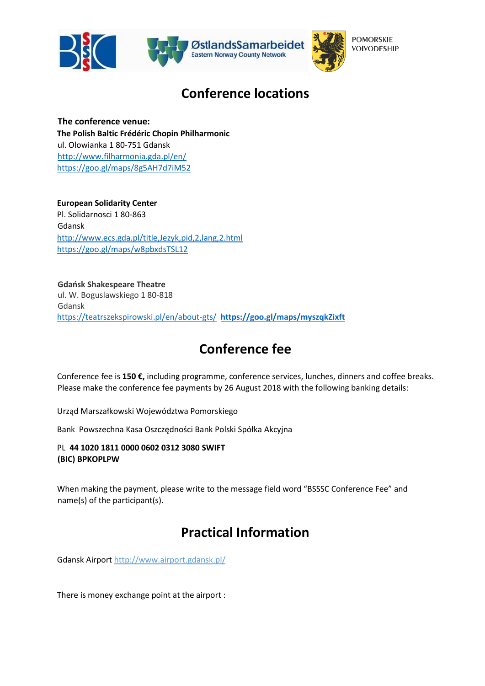



## **Conference locations**

**The conference venue: The Polish Baltic Frédéric Chopin Philharmonic** ul. Olowianka 1 80-751 Gdansk <http://www.filharmonia.gda.pl/en/> <https://goo.gl/maps/8g5AH7d7iM52>

**European Solidarity Center**  Pl. Solidarnosci 1 80-863 Gdansk <http://www.ecs.gda.pl/title,Jezyk,pid,2,lang,2.html> <https://goo.gl/maps/w8pbxdsTSL12>

**Gdańsk Shakespeare Theatre**  ul. W. Boguslawskiego 1 80-818 Gdansk <https://teatrszekspirowski.pl/en/about-gts/> **<https://goo.gl/maps/myszqkZixft>**

# **Conference fee**

Conference fee is **150 €,** including programme, conference services, lunches, dinners and coffee breaks. Please make the conference fee payments by 26 August 2018 with the following banking details:

Urząd Marszałkowski Województwa Pomorskiego

Bank Powszechna Kasa Oszczędności Bank Polski Spółka Akcyjna

PL **44 1020 1811 0000 0602 0312 3080 SWIFT (BIC) BPKOPLPW** 

When making the payment, please write to the message field word "BSSSC Conference Fee" and name(s) of the participant(s).

# **Practical Information**

Gdansk Airport<http://www.airport.gdansk.pl/>

There is money exchange point at the airport :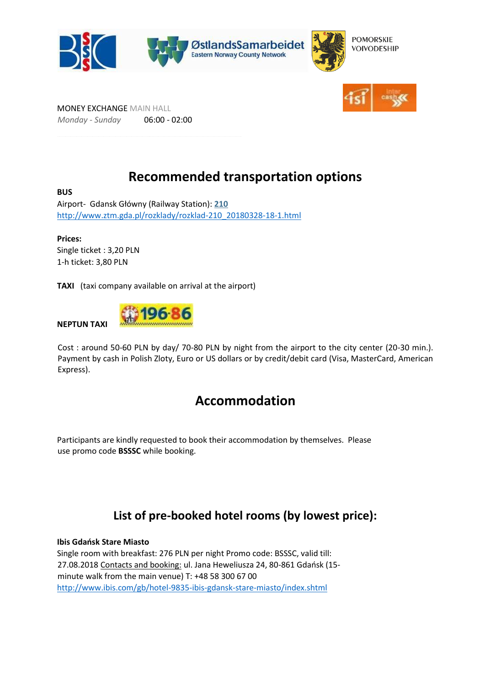



MONEY EXCHANGE MAIN HALL *Monday - Sunday* 06:00 - 02:00

## **Recommended transportation options**

**BUS**  Airport- Gdansk Główny (Railway Station)[:](http://www.ztm.gda.pl/rozklady/start-210_20091104.html) **[210](http://www.ztm.gda.pl/rozklady/start-210_20091104.html)** [http://www.ztm.gda.pl/rozklady/rozklad-210\\_20180328-18-1.html](http://www.ztm.gda.pl/rozklady/rozklad-210_20180328-18-1.html)

**Prices:**  Single ticket : 3,20 PLN 1-h ticket: 3,80 PLN

**TAXI** (taxi company available on arrival at the airport)

**NEPTUN TAXI** 



Cost : around 50-60 PLN by day/ 70-80 PLN by night from the airport to the city center (20-30 min.). Payment by cash in Polish Zloty, Euro or US dollars or by credit/debit card (Visa, MasterCard, American Express).

### **Accommodation**

Participants are kindly requested to book their accommodation by themselves. Please use promo code **BSSSC** while booking.

### **List of pre-booked hotel rooms (by lowest price):**

**Ibis Gdańsk Stare Miasto**  Single room with breakfast: 276 PLN per night Promo code: BSSSC, valid till: 27.08.2018 Contacts and booking: ul. Jana Heweliusza 24, 80-861 Gdańsk (15 minute walk from the main venue) T: +48 58 300 67 00 <http://www.ibis.com/gb/hotel-9835-ibis-gdansk-stare-miasto/index.shtml>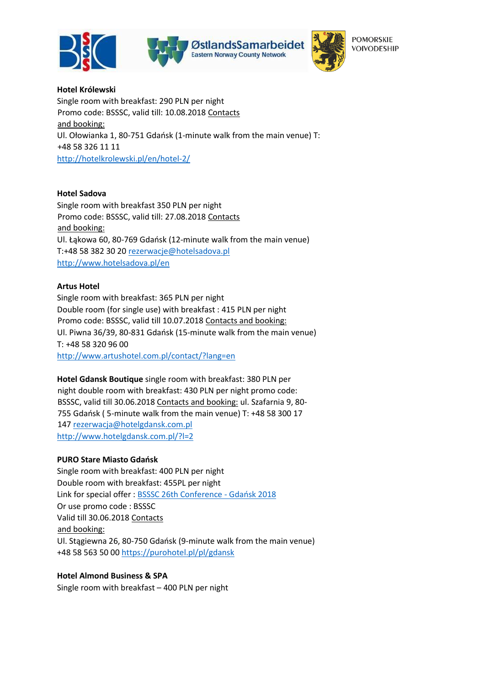



**POMORSKIE VOIVODESHIP** 

**Hotel Królewski**  Single room with breakfast: 290 PLN per night Promo code: BSSSC, valid till: 10.08.2018 Contacts and booking: Ul. Ołowianka 1, 80-751 Gdańsk (1-minute walk from the main venue) T: +48 58 326 11 11 <http://hotelkrolewski.pl/en/hotel-2/>

#### **Hotel Sadova**

Single room with breakfast 350 PLN per night Promo code: BSSSC, valid till: 27.08.2018 Contacts and booking: Ul. Łąkowa 60, 80-769 Gdańsk (12-minute walk from the main venue) T:+48 58 382 30 20 rezerwacje@hotelsadova.pl <http://www.hotelsadova.pl/en>

#### **Artus Hotel**

Single room with breakfast: 365 PLN per night Double room (for single use) with breakfast : 415 PLN per night Promo code: BSSSC, valid till 10.07.2018 Contacts and booking: Ul. Piwna 36/39, 80-831 Gdańsk (15-minute walk from the main venue) T: +48 58 320 96 00 <http://www.artushotel.com.pl/contact/?lang=en>

**Hotel Gdansk Boutique** single room with breakfast: 380 PLN per night double room with breakfast: 430 PLN per night promo code: BSSSC, valid till 30.06.2018 Contacts and booking: ul. Szafarnia 9, 80- 755 Gdańsk ( 5-minute walk from the main venue) T: +48 58 300 17 147 rezerwacja@hotelgdansk.com.pl <http://www.hotelgdansk.com.pl/?l=2>

#### **PURO Stare Miasto Gdańsk**

Single room with breakfast: 400 PLN per night Double room with breakfast: 455PL per night Link for special offer [: BSSSC 26th Conference -](https://v6.upperbooking.com/pl/booking/details/wrap/purohotelgdansk/122342/25th-bsssc-annual-conference-gdansk-2018?Source=v6&source=v6&preview=true) [Gdańsk 2018](https://v6.upperbooking.com/pl/booking/details/wrap/purohotelgdansk/122342/25th-bsssc-annual-conference-gdansk-2018?Source=v6&source=v6&preview=true) Or use promo code : BSSSC Valid till 30.06.2018 Contacts and booking: Ul. Stągiewna 26, 80-750 Gdańsk (9-minute walk from the main venue) +48 58 563 50 00<https://purohotel.pl/pl/gdansk>

#### **Hotel Almond Business & SPA**

Single room with breakfast – 400 PLN per night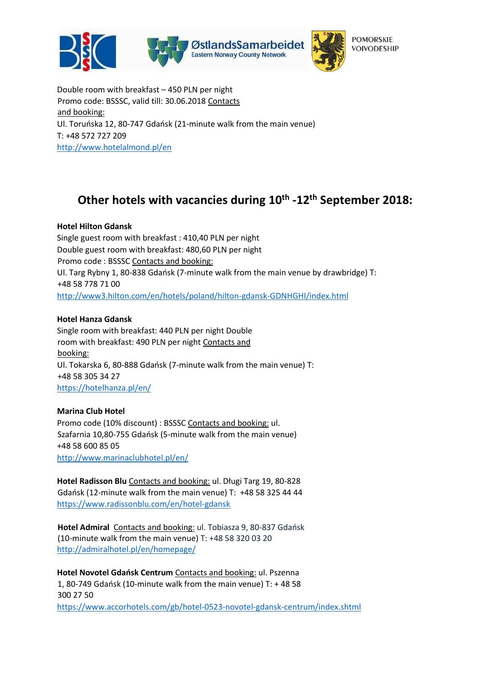

Double room with breakfast – 450 PLN per night Promo code: BSSSC, valid till: 30.06.2018 Contacts and booking: Ul. Toruńska 12, 80-747 Gdańsk (21-minute walk from the main venue) T: +48 572 727 209 <http://www.hotelalmond.pl/en>

## **Other hotels with vacancies during 10th -12th September 2018:**

### **Hotel Hilton Gdansk**

Single guest room with breakfast : 410,40 PLN per night Double guest room with breakfast: 480,60 PLN per night Promo code : BSSSC Contacts and booking: Ul. Targ Rybny 1, 80-838 Gdańsk (7-minute walk from the main venue by drawbridge) T: +48 58 778 71 00 <http://www3.hilton.com/en/hotels/poland/hilton-gdansk-GDNHGHI/index.html>

### **Hotel Hanza Gdansk**

Single room with breakfast: 440 PLN per night Double room with breakfast: 490 PLN per night Contacts and booking: Ul. Tokarska 6, 80-888 Gdańsk (7-minute walk from the main venue) T: +48 58 305 34 27 <https://hotelhanza.pl/en/>

### **Marina Club Hotel**

Promo code (10% discount) : BSSSC Contacts and booking: ul. Szafarnia 10,80-755 Gdańsk (5-minute walk from the main venue) +48 58 600 85 05 <http://www.marinaclubhotel.pl/en/>

**Hotel Radisson Blu** Contacts and booking: ul. Długi Targ 19, 80-828 Gdańsk (12-minute walk from the main venue) T: +48 58 325 44 44 <https://www.radissonblu.com/en/hotel-gdansk>

**Hotel Admiral** Contacts and booking: ul. Tobiasza 9, 80-837 Gdańsk (10-minute walk from the main venue) T: +48 58 320 03 20 <http://admiralhotel.pl/en/homepage/>

**Hotel Novotel Gdańsk Centrum** Contacts and booking: ul. Pszenna 1, 80-749 Gdańsk (10-minute walk from the main venue) T: + 48 58 300 27 50 <https://www.accorhotels.com/gb/hotel-0523-novotel-gdansk-centrum/index.shtml>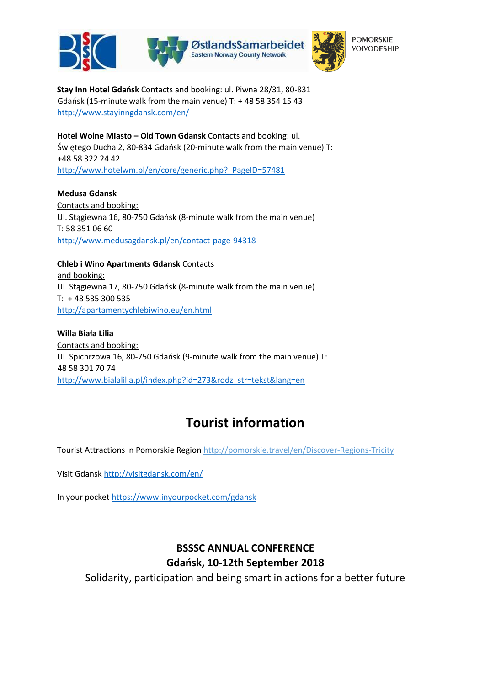

**POMORSKIE VOIVODESHIP** 

**Stay Inn Hotel Gdańsk** Contacts and booking: ul. Piwna 28/31, 80-831 Gdańsk (15-minute walk from the main venue) T: + 48 58 354 15 43 <http://www.stayinngdansk.com/en/>

**Hotel Wolne Miasto - Old Town Gdansk Contacts and booking: ul.** Świętego Ducha 2, 80-834 Gdańsk (20-minute walk from the main venue) T: +48 58 322 24 42 http://www.hotelwm.pl/en/core/generic.php? PageID=57481

**Medusa Gdansk**  Contacts and booking: Ul. Stągiewna 16, 80-750 Gdańsk (8-minute walk from the main venue) T: 58 351 06 60 <http://www.medusagdansk.pl/en/contact-page-94318>

**Chleb i Wino Apartments Gdansk** Contacts and booking: Ul. Stągiewna 17, 80-750 Gdańsk (8-minute walk from the main venue) T: + 48 535 300 535 <http://apartamentychlebiwino.eu/en.html>

**Willa Biała Lilia**  Contacts and booking: Ul. Spichrzowa 16, 80-750 Gdańsk (9-minute walk from the main venue) T: 48 58 301 70 74 [http://www.bialalilia.pl/index.php?id=273&rodz\\_str=tekst&lang=en](http://www.bialalilia.pl/index.php?id=273&rodz_str=tekst&lang=en)

# **Tourist information**

Tourist Attractions in Pomorskie Regio[n http://pomorskie.travel/en/Discover-Regions-Tricity](http://pomorskie.travel/en/Discover-Regions-Tricity)

Visit Gdans[k http://visitgdansk.com/en/](http://visitgdansk.com/en/)

In your pocket<https://www.inyourpocket.com/gdansk>

### **BSSSC ANNUAL CONFERENCE Gdańsk, 10-12th September 2018**

Solidarity, participation and being smart in actions for a better future